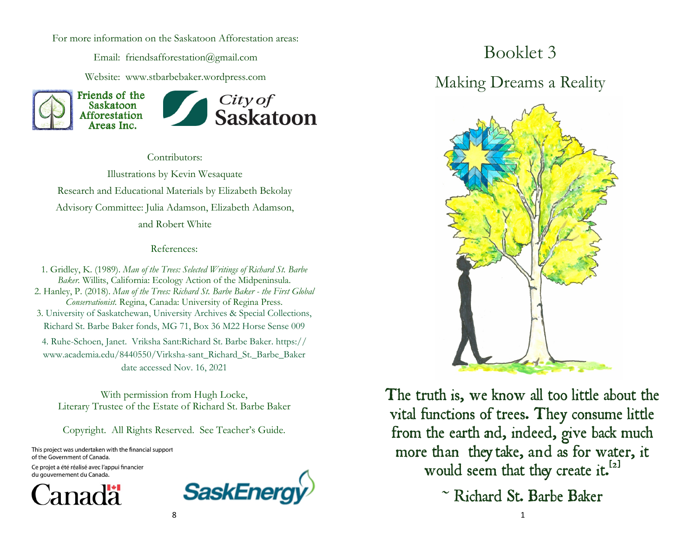For more information on the Saskatoon Afforestation areas:

Email: friendsafforestation@gmail.com

Website: www.stbarbebaker.wordpress.com



Contributors:

Illustrations by Kevin Wesaquate Research and Educational Materials by Elizabeth Bekolay Advisory Committee: Julia Adamson, Elizabeth Adamson, and Robert White

#### References:

1. Gridley, K. (1989). *Man of the Trees: Selected Writings of Richard St. Barbe Baker.* Willits, California: Ecology Action of the Midpeninsula. 2. Hanley, P. (2018). *Man of the Trees: Richard St. Barbe Baker - the First Global Conservationist.* Regina, Canada: University of Regina Press. 3. University of Saskatchewan, University Archives & Special Collections, Richard St. Barbe Baker fonds, MG 71, Box 36 M22 Horse Sense 009 4. Ruhe-Schoen, Janet. Vriksha Sant:Richard St. Barbe Baker. https:// www.academia.edu/8440550/Virksha-sant\_Richard\_St.\_Barbe\_Baker date accessed Nov. 16, 2021

With permission from Hugh Locke, Literary Trustee of the Estate of Richard St. Barbe Baker

Copyright. All Rights Reserved. See Teacher's Guide.

This project was undertaken with the financial support of the Government of Canada. Ce projet a été réalisé avec l'appui financier





## Booklet 3

Making Dreams a Reality



The truth is, we know all too little about the vital functions of trees. They consume little from the earth and, indeed, give back much more than they take, and as for water, it would seem that they create it.<sup>[2]</sup>

 $\sim$  Richard St. Barbe Baker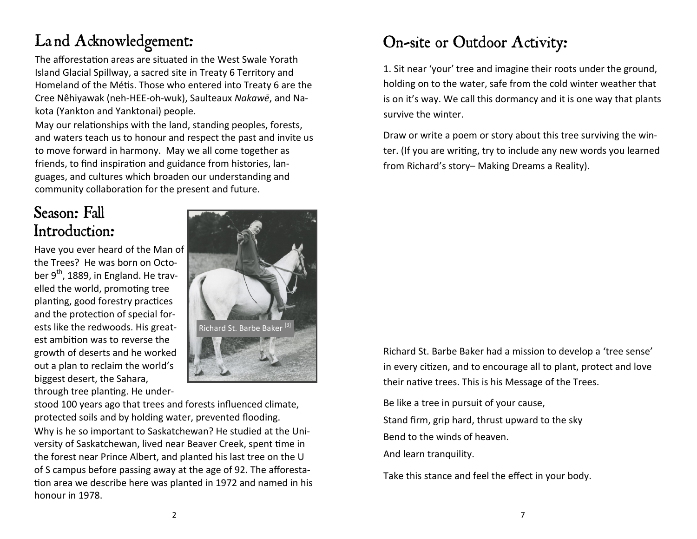# Land Acknowledgement:

The afforestation areas are situated in the West Swale Yorath Island Glacial Spillway, a sacred site in Treaty 6 Territory and Homeland of the Métis. Those who entered into Treaty 6 are the Cree Nêhiyawak (neh-HEE-oh-wuk), Saulteaux *[Nakawē](https://en.wikipedia.org/wiki/Saulteaux)*, and Nakota (Yankton and Yanktonai) people.

May our relationships with the land, standing peoples, forests, and waters teach us to honour and respect the past and invite us to move forward in harmony. May we all come together as friends, to find inspiration and guidance from histories, languages, and cultures which broaden our understanding and community collaboration for the present and future.

### Season: Fall Introduction:

Have you ever heard of the Man of the Trees? He was born on October  $9<sup>th</sup>$ , 1889, in England. He travelled the world, promoting tree planting, good forestry practices and the protection of special forests like the redwoods. His greatest ambition was to reverse the growth of deserts and he worked out a plan to reclaim the world's biggest desert, the Sahara, through tree planting. He under-



stood 100 years ago that trees and forests influenced climate, protected soils and by holding water, prevented flooding. Why is he so important to Saskatchewan? He studied at the University of Saskatchewan, lived near Beaver Creek, spent time in the forest near Prince Albert, and planted his last tree on the U of S campus before passing away at the age of 92. The afforestation area we describe here was planted in 1972 and named in his honour in 1978.

## On-site or Outdoor Activity:

1. Sit near 'your' tree and imagine their roots under the ground, holding on to the water, safe from the cold winter weather that is on it's way. We call this dormancy and it is one way that plants survive the winter.

Draw or write a poem or story about this tree surviving the winter. (If you are writing, try to include any new words you learned from Richard's story– Making Dreams a Reality).

Richard St. Barbe Baker had a mission to develop a 'tree sense' in every citizen, and to encourage all to plant, protect and love their native trees. This is his Message of the Trees.

Be like a tree in pursuit of your cause, Stand firm, grip hard, thrust upward to the sky Bend to the winds of heaven. And learn tranquility.

Take this stance and feel the effect in your body.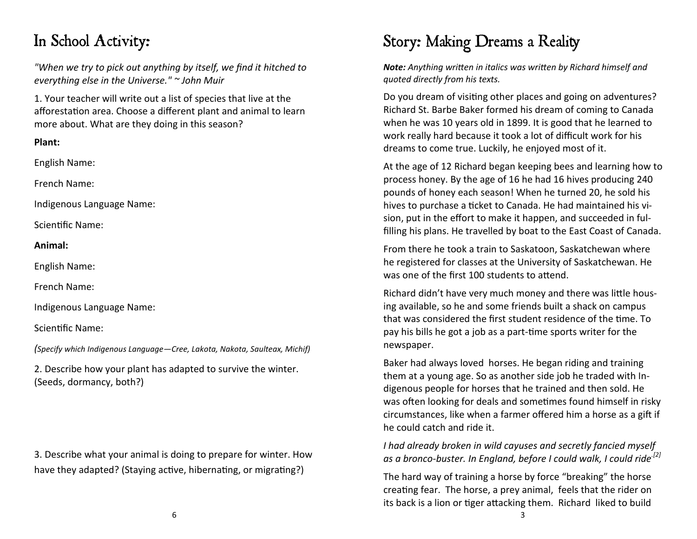### In School Activity:

*"When we try to pick out anything by itself, we find it hitched to everything else in the Universe." ~ John Muir* 

1. Your teacher will write out a list of species that live at the afforestation area. Choose a different plant and animal to learn more about. What are they doing in this season?

#### **Plant:**

English Name:

French Name:

Indigenous Language Name:

Scientific Name:

**Animal:**

English Name:

French Name:

Indigenous Language Name:

Scientific Name:

*(Specify which Indigenous Language—Cree, Lakota, Nakota, Saulteax, Michif)*

2. Describe how your plant has adapted to survive the winter. (Seeds, dormancy, both?)

3. Describe what your animal is doing to prepare for winter. How have they adapted? (Staying active, hibernating, or migrating?)

# Story: Making Dreams a Reality

*Note: Anything written in italics was written by Richard himself and quoted directly from his texts.* 

Do you dream of visiting other places and going on adventures? Richard St. Barbe Baker formed his dream of coming to Canada when he was 10 years old in 1899. It is good that he learned to work really hard because it took a lot of difficult work for his dreams to come true. Luckily, he enjoyed most of it.

At the age of 12 Richard began keeping bees and learning how to process honey. By the age of 16 he had 16 hives producing 240 pounds of honey each season! When he turned 20, he sold his hives to purchase a ticket to Canada. He had maintained his vision, put in the effort to make it happen, and succeeded in fulfilling his plans. He travelled by boat to the East Coast of Canada.

From there he took a train to Saskatoon, Saskatchewan where he registered for classes at the University of Saskatchewan. He was one of the first 100 students to attend.

Richard didn't have very much money and there was little housing available, so he and some friends built a shack on campus that was considered the first student residence of the time. To pay his bills he got a job as a part-time sports writer for the newspaper.

Baker had always loved horses. He began riding and training them at a young age. So as another side job he traded with Indigenous people for horses that he trained and then sold. He was often looking for deals and sometimes found himself in risky circumstances, like when a farmer offered him a horse as a gift if he could catch and ride it.

*I had already broken in wild cayuses and secretly fancied myself as a bronco-buster. In England, before I could walk, I could ride.[2]*

The hard way of training a horse by force "breaking" the horse creating fear. The horse, a prey animal, feels that the rider on its back is a lion or tiger attacking them. Richard liked to build